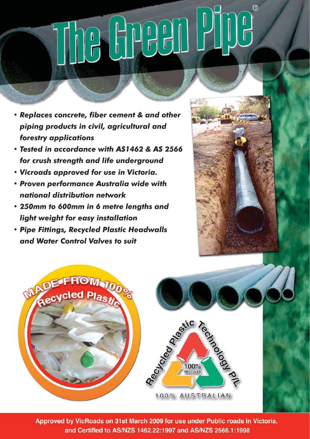# $^{\circ}$

- *Replaces concrete, fi ber cement & and other piping products in civil, agricultural and forestry applications*
- *Tested in accordance with AS1462 & AS 2566 for crush strength and life underground*
- *Vicroads approved for use in Victoria.*
- *Proven performance Australia wide with national distribution network*
- *250mm to 600mm in 6 metre lengths and light weight for easy installation*
- *Pipe Fittings, Recycled Plastic Headwalls and Water Control Valves to suit*





Approved by VicRoads on 31st March 2009 for use under Public roads in Victoria, and Certified to AS/NZS 1462.22:1997 and AS/NZS 2566.1:1998